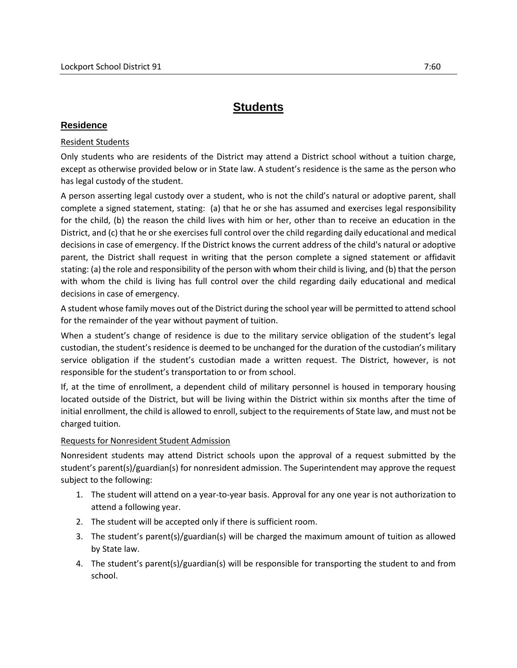# **Students**

# **Residence**

## Resident Students

Only students who are residents of the District may attend a District school without a tuition charge, except as otherwise provided below or in State law. A student's residence is the same as the person who has legal custody of the student.

A person asserting legal custody over a student, who is not the child's natural or adoptive parent, shall complete a signed statement, stating: (a) that he or she has assumed and exercises legal responsibility for the child, (b) the reason the child lives with him or her, other than to receive an education in the District, and (c) that he or she exercises full control over the child regarding daily educational and medical decisions in case of emergency. If the District knows the current address of the child's natural or adoptive parent, the District shall request in writing that the person complete a signed statement or affidavit stating: (a) the role and responsibility of the person with whom their child is living, and (b) that the person with whom the child is living has full control over the child regarding daily educational and medical decisions in case of emergency.

A student whose family moves out of the District during the school year will be permitted to attend school for the remainder of the year without payment of tuition.

When a student's change of residence is due to the military service obligation of the student's legal custodian, the student's residence is deemed to be unchanged for the duration of the custodian's military service obligation if the student's custodian made a written request. The District, however, is not responsible for the student's transportation to or from school.

If, at the time of enrollment, a dependent child of military personnel is housed in temporary housing located outside of the District, but will be living within the District within six months after the time of initial enrollment, the child is allowed to enroll, subject to the requirements of State law, and must not be charged tuition.

#### Requests for Nonresident Student Admission

Nonresident students may attend District schools upon the approval of a request submitted by the student's parent(s)/guardian(s) for nonresident admission. The Superintendent may approve the request subject to the following:

- 1. The student will attend on a year-to-year basis. Approval for any one year is not authorization to attend a following year.
- 2. The student will be accepted only if there is sufficient room.
- 3. The student's parent(s)/guardian(s) will be charged the maximum amount of tuition as allowed by State law.
- 4. The student's parent(s)/guardian(s) will be responsible for transporting the student to and from school.